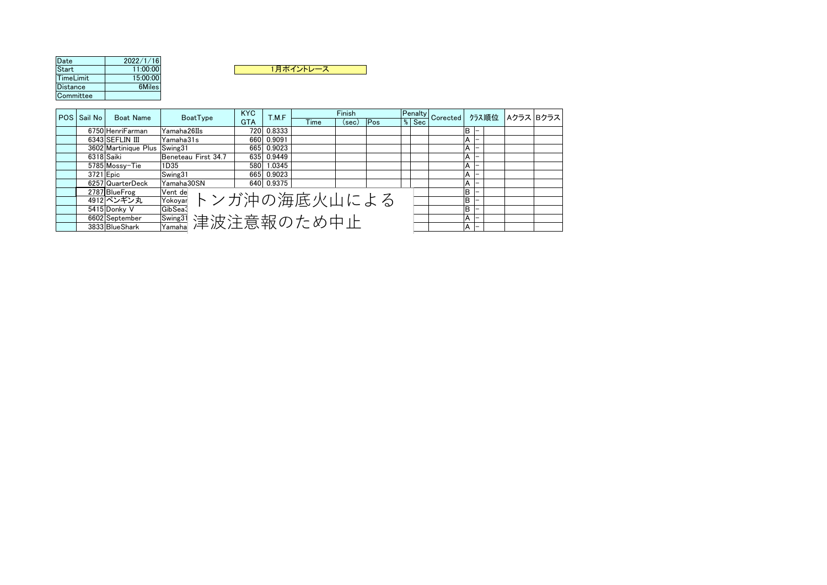| Date      | 2022/1/16 |
|-----------|-----------|
| Start     | 11:00:00  |
| TimeLimit | 15:00:00  |
| Distance  | 6Miles    |
| Committee |           |

| Distance  |             | 6Miles           |             |            |        |      |        |     |   |         |    |
|-----------|-------------|------------------|-------------|------------|--------|------|--------|-----|---|---------|----|
| Committee |             |                  |             |            |        |      |        |     |   |         |    |
|           |             |                  |             |            |        |      |        |     |   |         |    |
|           | POS Sail No | <b>Boat Name</b> | BoatType    | <b>KYC</b> | T.M.F  |      | Finish |     |   | Penalt\ | Co |
|           |             |                  |             | <b>GTA</b> |        | Time | (sec)  | Pos | % | Sec     |    |
|           |             | 6750 HenriFarman | Yamaha26IIs | 7201       | 0.8333 |      |        |     |   |         |    |
|           |             | ------------     | . .<br>.    |            | .      |      |        |     |   |         |    |

| POS Sail No | <b>Boat Name</b>             | BoatType                               | <b>KYC</b> | T.M.F      | Finish        |     |         |  |                |                                  |  |
|-------------|------------------------------|----------------------------------------|------------|------------|---------------|-----|---------|--|----------------|----------------------------------|--|
|             |                              |                                        | <b>GTA</b> |            | (sec)<br>Time | Pos | $%$ Sec |  |                | Penalty Corected クラス順位 Aクラス Bクラス |  |
|             | 6750 HenriFarman             | Yamaha26IIs                            |            | 720 0.8333 |               |     |         |  |                |                                  |  |
|             | 6343 SEFLIN III              | Yamaha31s                              |            | 660 0.9091 |               |     |         |  |                |                                  |  |
|             | 3602 Martinique Plus Swing31 |                                        |            | 665 0.9023 |               |     |         |  |                |                                  |  |
| 6318 Saiki  |                              | Beneteau First 34.7                    |            | 635 0.9449 |               |     |         |  |                |                                  |  |
|             | 5785 Mossv-Tie               | 1D35                                   |            | 580 1.0345 |               |     |         |  |                |                                  |  |
| 3721 Epic   |                              | Swing31                                |            | 665 0.9023 |               |     |         |  |                |                                  |  |
|             | 6257 QuarterDeck             | Yamaha30SN                             |            | 640 0.9375 |               |     |         |  |                |                                  |  |
|             | 2787 BlueFrog                | Vent de                                |            |            |               |     |         |  |                |                                  |  |
|             | 4912 ペンギン丸                   |                                        |            |            |               |     |         |  |                |                                  |  |
|             | 5415 Donkv V                 | <u>Yent de</u> トンガ沖の海底火山による<br>GibSea3 |            |            |               |     |         |  |                |                                  |  |
|             | 6602 September               | <u>「<sup>Swing31</sup></u> 津波注意報のため中止  |            |            |               |     |         |  |                |                                  |  |
|             | 3833 BlueShark               |                                        |            |            |               |     |         |  | $\overline{ }$ |                                  |  |

1月ポイントレース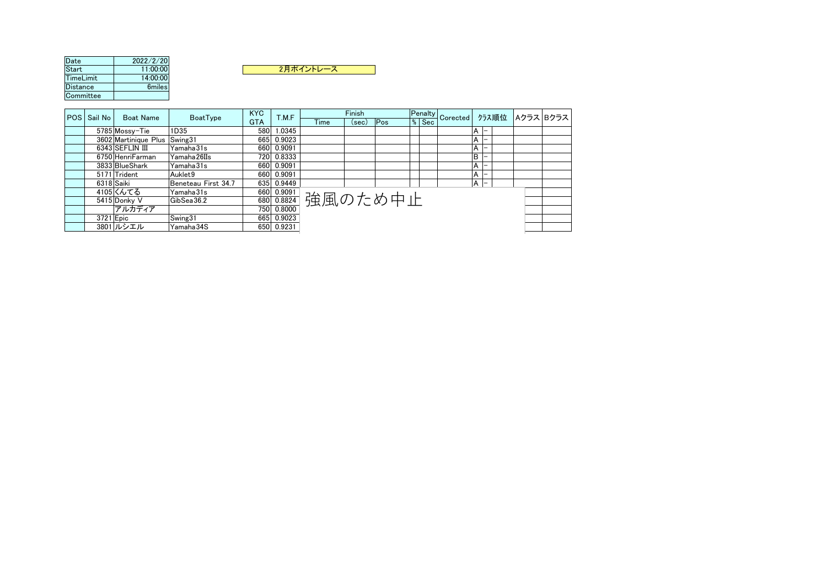| Date      | 2022/2/20 |
|-----------|-----------|
| Start     | 11:00:00  |
| TimeLimit | 14:00:00  |
| Distance  | 6miles    |
| Committee |           |



|  | POS Sail No<br><b>Boat Name</b> | BoatType            | <b>KYC</b> | T.M.F      |                    | Finish |     |         | Fenalty Corected クラス順位 Aクラス Bクラス |              |  |  |
|--|---------------------------------|---------------------|------------|------------|--------------------|--------|-----|---------|----------------------------------|--------------|--|--|
|  |                                 |                     | <b>GTA</b> |            | Time               | (sec)  | Pos | $%$ Sec |                                  |              |  |  |
|  | 5785 Mossy-Tie                  | 1D35                |            | 580 1.0345 |                    |        |     |         |                                  |              |  |  |
|  | 3602 Martinique Plus Swing31    |                     |            | 665 0.9023 |                    |        |     |         |                                  |              |  |  |
|  | 6343 SEFLIN III                 | Yamaha31s           |            | 660 0.9091 |                    |        |     |         |                                  |              |  |  |
|  | 6750 HenriFarman                | Yamaha 26IIs        |            | 720 0.8333 |                    |        |     |         |                                  |              |  |  |
|  | 3833 BlueShark                  | Yamaha31s           |            | 660 0.9091 |                    |        |     |         |                                  |              |  |  |
|  | 5171 Trident                    | Auklet9             |            | 660 0.9091 |                    |        |     |         |                                  |              |  |  |
|  | 6318 Saiki                      | Beneteau First 34.7 |            | 635 0.9449 |                    |        |     |         |                                  | $A$ $\vdash$ |  |  |
|  | 4105 くんてる                       | Yamaha31s           |            |            | 600 0.9091 強風のため中止 |        |     |         |                                  |              |  |  |
|  | 5415 Donky V                    | GibSeq36.2          |            |            |                    |        |     |         |                                  |              |  |  |
|  | アルカディア                          |                     |            |            |                    |        |     |         |                                  |              |  |  |
|  | 3721 Epic                       | Swing31             |            | 665 0.9023 |                    |        |     |         |                                  |              |  |  |
|  | 3801 ルシエル                       | Yamaha 34S          |            | 650 0.9231 |                    |        |     |         |                                  |              |  |  |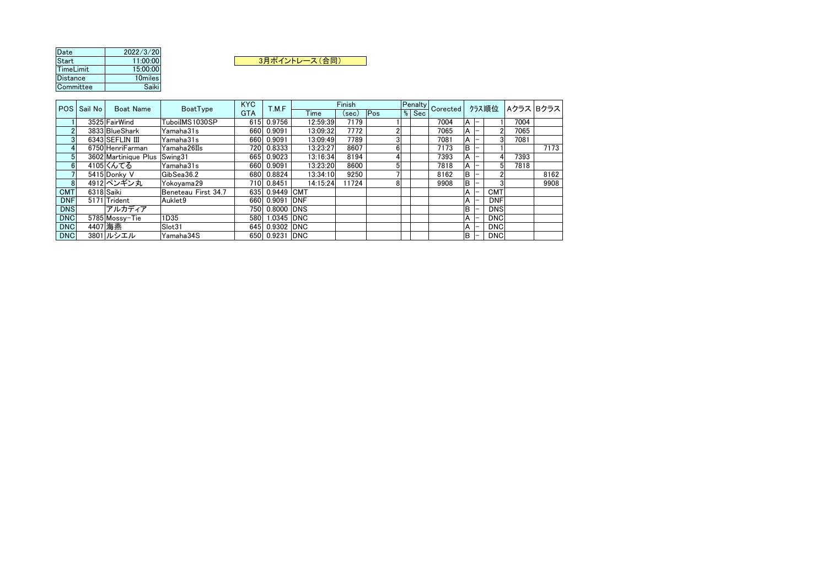| Date            | 2022/3/20 |  |
|-----------------|-----------|--|
| Start           | 11:00:00  |  |
| TimeLimit       | 15:00:00  |  |
| <b>Distance</b> | 10miles   |  |
| Committee       | Saiki     |  |

3月ポイントレース(合同)

|            | POS Sail No | <b>Boat Name</b>     | BoatType            | <b>KYC</b> | T.M.F          |          | Finish |     |             | Penalty Corected   " |    | クラス順位      |      | Aクラス  Bクラス |
|------------|-------------|----------------------|---------------------|------------|----------------|----------|--------|-----|-------------|----------------------|----|------------|------|------------|
|            |             |                      |                     | <b>GTA</b> |                | Time     | (sec)  | Pos | $%$ Sec $ $ |                      |    |            |      |            |
|            |             | 3525 FairWind        | TuboiIMS1030SP      |            | 615 0.9756     | 12:59:39 | 7179   |     |             | 7004                 |    |            | 7004 |            |
|            |             | 3833 BlueShark       | Yamaha31s           | 660        | 0.9091         | 13:09:32 | 7772   |     |             | 7065                 |    |            | 7065 |            |
|            |             | 6343 SEFLIN III      | Yamaha31s           | 660        | 0.9091         | 13:09:49 | 7789   |     |             | 7081                 |    |            | 7081 |            |
|            |             | 6750 HenriFarman     | Yamaha26IIs         |            | 720 0.8333     | 13:23:27 | 8607   |     |             | 7173                 | D  |            |      | 7173       |
|            |             | 3602 Martinique Plus | Swing31             | 665        | 0.9023         | 13:16:34 | 8194   |     |             | 7393                 |    |            | 7393 |            |
|            |             | 4105Kんてる             | Yamaha31s           | 660        | 0.9091         | 13:23:20 | 8600   |     |             | 7818                 |    |            | 7818 |            |
|            |             | 5415 Donky V         | GibSea36.2          |            | 680 0.8824     | 13:34:10 | 9250   |     |             | 8162                 | R  |            |      | 8162       |
|            |             | 4912 ペンギン丸           | Yokovama29          |            | 710 0.8451     | 14:15:24 | 11724  |     |             | 9908                 |    |            |      | 9908       |
| <b>CMT</b> |             | 6318 Saiki           | Beneteau First 34.7 |            | 635 0.9449 CMT |          |        |     |             |                      |    | <b>CMT</b> |      |            |
| <b>DNF</b> |             | 5171 Trident         | Auklet9             |            | 660 0.9091 DNF |          |        |     |             |                      |    | <b>DNF</b> |      |            |
| <b>DNS</b> |             | アルカディア               |                     | 750        | 0.8000  DNS    |          |        |     |             |                      | B. | <b>DNS</b> |      |            |
| <b>DNC</b> |             | 5785 Mossy-Tie       | 1D35                |            | 580 1.0345 DNC |          |        |     |             |                      |    | <b>DNC</b> |      |            |
| <b>DNC</b> |             | 4407 海燕              | Slot31              | 645        | 0.9302  DNC    |          |        |     |             |                      |    | <b>DNC</b> |      |            |
| <b>DNC</b> |             | 3801 ルシエル            | Yamaha34S           |            | 650 0.9231 DNC |          |        |     |             |                      | B  | <b>DNC</b> |      |            |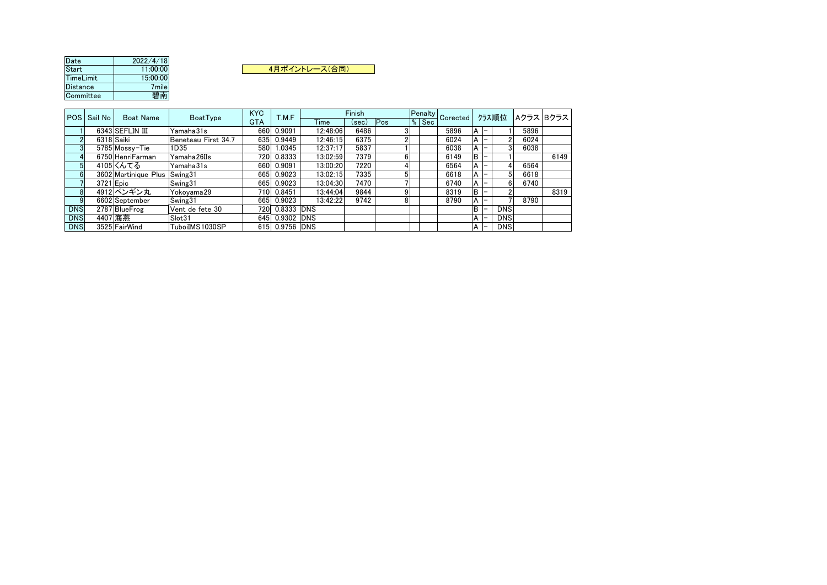| Date      | 2022/4/18 |               |
|-----------|-----------|---------------|
| Start     | 11:00:00  | 4月ポイントレース(合同) |
| TimeLimit | 15:00:00  |               |
| Distance  | 7mile l   |               |
| Committee | 碧南        |               |

|            | POS   Sail No  <br><b>Boat Name</b> | BoatType            | <b>KYC</b> | T.M.F          |          | Finish |     |          | Penalty Corected P |  | クラス順位      |      | Aクラス Bクラス |
|------------|-------------------------------------|---------------------|------------|----------------|----------|--------|-----|----------|--------------------|--|------------|------|-----------|
|            |                                     |                     | <b>GTA</b> |                | Time     | (sec)  | Pos | $\%$ Sec |                    |  |            |      |           |
|            | 6343 SEFLIN III                     | lYamaha31s          |            | 660 0.9091     | 12:48:06 | 6486   |     |          | 5896               |  |            | 5896 |           |
|            | 6318 Saiki                          | Beneteau First 34.7 |            | 635 0.9449     | 12:46:15 | 6375   |     |          | 6024               |  |            | 6024 |           |
|            | 5785 Mossy-Tie                      | 1D35                | 580        | 1.0345         | 12:37:17 | 5837   |     |          | 6038               |  |            | 6038 |           |
|            | 6750 HenriFarman                    | Yamaha 26IIs        |            | 720 0.8333     | 13:02:59 | 7379   |     |          | 6149               |  |            |      | 6149      |
|            | 4105 くんてる                           | Yamaha31s           |            | 660 0.9091     | 13:00:20 | 7220   |     |          | 6564               |  |            | 6564 |           |
|            | 3602 Martinique Plus Swing31        |                     |            | 665 0.9023     | 13:02:15 | 7335   |     |          | 6618               |  |            | 6618 |           |
|            | 3721 Epic                           | Swing31             |            | 665 0.9023     | 13:04:30 | 7470   |     |          | 6740               |  |            | 6740 |           |
|            | 4912 ペンギン丸                          | Yokovama 29         |            | 710 0.8451     | 13:44:04 | 9844   |     |          | 8319               |  |            |      | 8319      |
|            | 6602 September                      | Swing31             |            | 665 0.9023     | 13:42:22 | 9742   |     |          | 8790               |  |            | 8790 |           |
| <b>DNS</b> | 2787 Blue Frog                      | Vent de fete 30     |            | 720 0.8333 DNS |          |        |     |          |                    |  | <b>DNS</b> |      |           |
| <b>DNS</b> | 4407 海燕                             | Slot31              |            | 645 0.9302 DNS |          |        |     |          |                    |  | <b>DNS</b> |      |           |
| <b>DNS</b> | 3525 FairWind                       | TuboiIMS1030SP      |            | 615 0.9756 DNS |          |        |     |          |                    |  | <b>DNS</b> |      |           |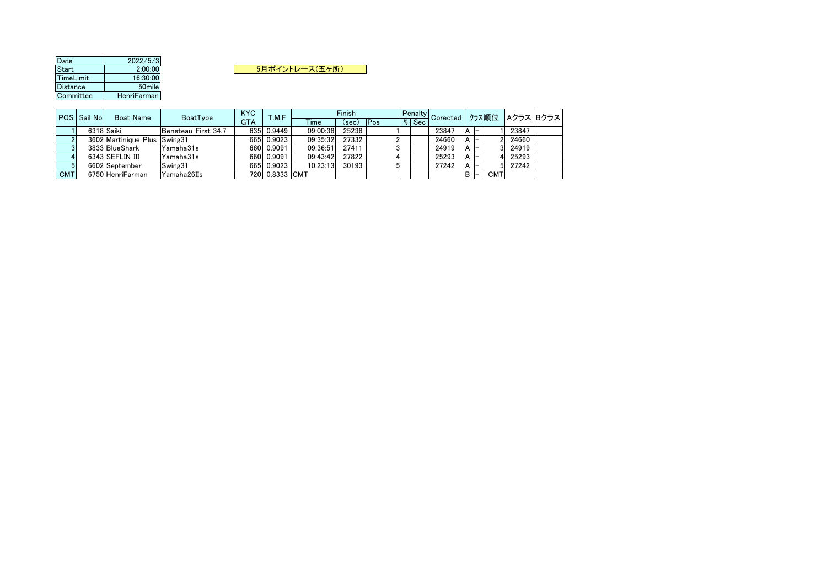| Date            | 2022/5/3    |  |
|-----------------|-------------|--|
| <b>Start</b>    | 2:00:00     |  |
| TimeLimit       | 16:30:00    |  |
| <b>Distance</b> | 50mile      |  |
| Committee       | HenriFarman |  |

5月ポイントレース(五ヶ所)

|            | POS Sail No | Boat Name                    | BoatType            | <b>KYC</b> | T.M.F          |          | Finish |     |                       | <b>Example 19 Penalty Corected</b>   1774 |            |       | ♪ラス順位  Aクラス  Bクラス |
|------------|-------------|------------------------------|---------------------|------------|----------------|----------|--------|-----|-----------------------|-------------------------------------------|------------|-------|-------------------|
|            |             |                              |                     | <b>GTA</b> |                | Time     | (sec)  | Pos | ${}^{\mathsf{L}}$ Sec |                                           |            |       |                   |
|            | 6318 Saiki  |                              | Beneteau First 34.7 | 635        | 0.9449         | 09:00:38 | 25238  |     |                       | 23847                                     |            | 23847 |                   |
|            |             | 3602 Martinique Plus Swing31 |                     | 665        | 0.9023         | 09:35:32 | 27332  |     |                       | 24660                                     |            | 24660 |                   |
|            |             | 3833 BlueShark               | Yamaha31s           |            | 660 0.9091     | 09:36:51 | 27411  |     |                       | 24919                                     |            | 24919 |                   |
|            |             | 6343 SEFLIN III              | Yamaha31s           | 660        | 0.9091         | 09:43:42 | 27822  |     |                       | 25293                                     |            | 25293 |                   |
|            |             | 6602 September               | Swing31             | 665        | 0.9023         | 10:23:13 | 30193  |     |                       | 27242                                     |            | 27242 |                   |
| <b>CMT</b> |             | 6750 HenriFarman             | Yamaha26IIs         |            | 720 0.8333 CMT |          |        |     |                       |                                           | <b>CMT</b> |       |                   |